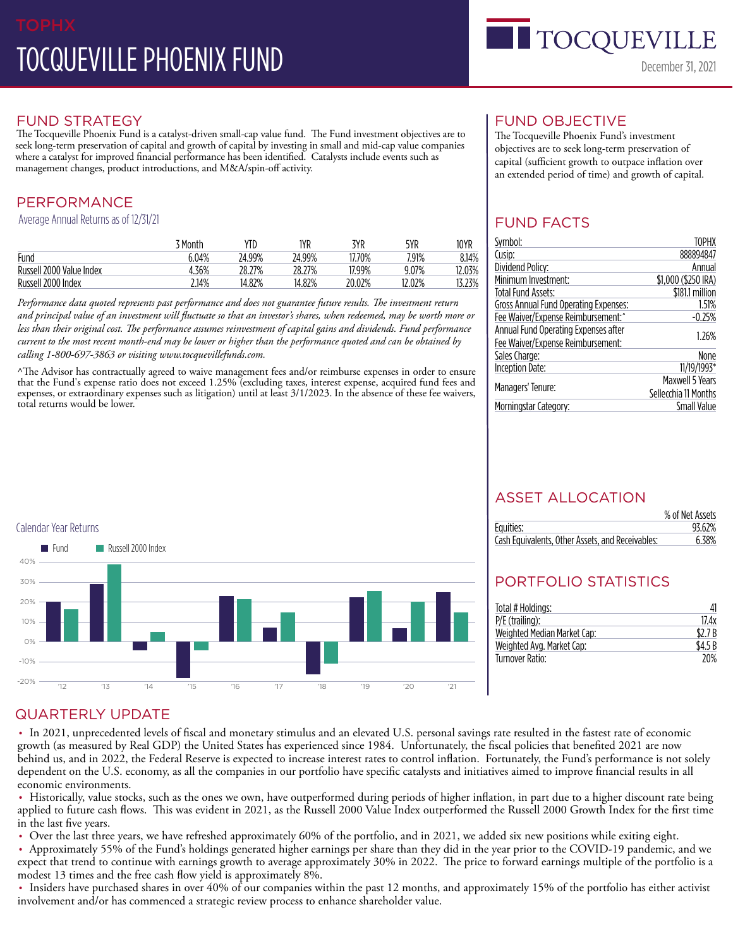# FUND STRATEGY

The Tocqueville Phoenix Fund is a catalyst-driven small-cap value fund. The Fund investment objectives are to seek long-term preservation of capital and growth of capital by investing in small and mid-cap value companies where a catalyst for improved financial performance has been identified. Catalysts include events such as management changes, product introductions, and M&A/spin-off activity.

# PERFORMANCE

Average Annual Returns as of 12/31/21

|                          | ' Month | YTD    | 1YR    | 3YR    | 5YR   | 10YR  |
|--------------------------|---------|--------|--------|--------|-------|-------|
| Fund                     | 6.04%   | 24.99% | 24.99% | 770%   | 7.91% | 8.14% |
| Russell 2000 Value Index | .36%    | 28.27% | 28.27% | 17.99% | 9.07% | .03%  |
| Russell 2000 Index       | 2.14%   | 14.82% | 14.82% | 20.02% | 2.02% | .23%  |

*Performance data quoted represents past performance and does not guarantee future results. The investment return and principal value of an investment will fluctuate so that an investor's shares, when redeemed, may be worth more or less than their original cost. The performance assumes reinvestment of capital gains and dividends. Fund performance current to the most recent month-end may be lower or higher than the performance quoted and can be obtained by calling 1-800-697-3863 or visiting www.tocquevillefunds.com.*

^The Advisor has contractually agreed to waive management fees and/or reimburse expenses in order to ensure that the Fund's expense ratio does not exceed 1.25% (excluding taxes, interest expense, acquired fund fees and expenses, or extraordinary expenses such as litigation) until at least 3/1/2023. In the absence of these fee waivers, total returns would be lower.



The Tocqueville Phoenix Fund's investment objectives are to seek long-term preservation of capital (sufficient growth to outpace inflation over an extended period of time) and growth of capital.

TOCQUEVI

December 31, 2021

# FUND FACTS

| Symbol:                               | TOPHX                |  |
|---------------------------------------|----------------------|--|
| Cusip:                                | 888894847            |  |
| Dividend Policy:                      | Annual               |  |
| Minimum Investment:                   | \$1,000 (\$250 IRA)  |  |
| Total Fund Assets:                    | \$181.1 million      |  |
| Gross Annual Fund Operating Expenses: | 1.51%                |  |
| Fee Waiver/Expense Reimbursement:     | $-0.25%$             |  |
| Annual Fund Operating Expenses after  |                      |  |
| Fee Waiver/Expense Reimbursement:     | 1.26%                |  |
| Sales Charge:                         | None                 |  |
| Inception Date:                       | 11/19/1993*          |  |
|                                       | Maxwell 5 Years      |  |
| Managers' Tenure:                     | Sellecchia 11 Months |  |
| Morningstar Category:                 | Small Value          |  |
|                                       |                      |  |



# ASSET ALLOCATION

|                                                  | % of Net Assets |
|--------------------------------------------------|-----------------|
| Equities:                                        | 93.62%          |
| Cash Equivalents, Other Assets, and Receivables: | 6.38%           |

# PORTFOLIO STATISTICS

| Total # Holdings:           | 41     |
|-----------------------------|--------|
| $P/E$ (trailing):           | 17.4x  |
| Weighted Median Market Cap: | \$2.7B |
| Weighted Avg. Market Cap:   | \$4.5B |
| Turnover Ratio:             | 20%    |

## QUARTERLY UPDATE

• In 2021, unprecedented levels of fiscal and monetary stimulus and an elevated U.S. personal savings rate resulted in the fastest rate of economic growth (as measured by Real GDP) the United States has experienced since 1984. Unfortunately, the fiscal policies that benefited 2021 are now behind us, and in 2022, the Federal Reserve is expected to increase interest rates to control inflation. Fortunately, the Fund's performance is not solely dependent on the U.S. economy, as all the companies in our portfolio have specific catalysts and initiatives aimed to improve financial results in all economic environments.

• Historically, value stocks, such as the ones we own, have outperformed during periods of higher inflation, in part due to a higher discount rate being applied to future cash flows. This was evident in 2021, as the Russell 2000 Value Index outperformed the Russell 2000 Growth Index for the first time in the last five years.

• Over the last three years, we have refreshed approximately 60% of the portfolio, and in 2021, we added six new positions while exiting eight.

• Approximately 55% of the Fund's holdings generated higher earnings per share than they did in the year prior to the COVID-19 pandemic, and we expect that trend to continue with earnings growth to average approximately 30% in 2022. The price to forward earnings multiple of the portfolio is a modest 13 times and the free cash flow yield is approximately 8%.

• Insiders have purchased shares in over 40% of our companies within the past 12 months, and approximately 15% of the portfolio has either activist involvement and/or has commenced a strategic review process to enhance shareholder value.